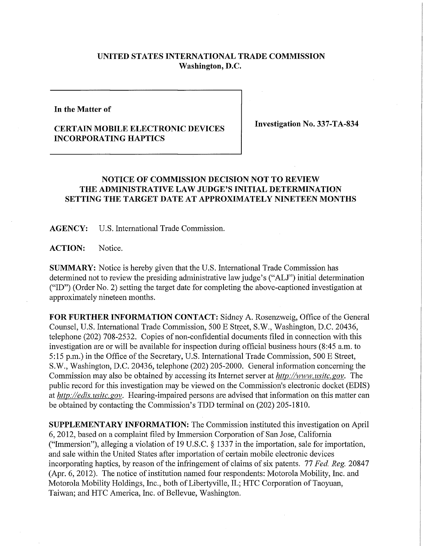## **UNITED STATES INTERNATIONAL TRADE COMMISSION Washington, D.C.**

**In the Matter of** 

## **CERTAIN MOBILE ELECTRONIC DEVICES INCORPORATING HAPTICS**

**Investigation No. 337-TA-834** 

## **NOTICE OF COMMISSION DECISION NOT TO REVIEW**  THE ADMINISTRATIVE LAW JUDGE'S INITIAL DETERMINATION **SETTING THE TARGET DATE AT APPROXIMATELY NINETEEN MONTHS**

**AGENCY:** U.S. International Trade Commission.

**ACTION:** Notice.

**SUMMARY:** Notice is hereby given that the U.S. International Trade Commission has determined not to review the presiding administrative law judge's ("ALJ") initial determination ("ID") (Order No. 2) setting the target date for completing the above-captioned investigation at approximately nineteen months.

FOR FURTHER INFORMATION CONTACT: Sidney A. Rosenzweig, Office of the General Counsel, U.S. International Trade Commission, 500 E Street, S.W., Washington, D.C. 20436, telephone (202) 708-2532. Copies of non-confidential documents filed in connection with this investigation are or will be available for inspection during official business hours (8:45 a.m. to 5:15 p.m.) in the Office of the Secretary, U.S. International Trade Commission, 500 E Street, 5. W., Washington, D.C. 20436, telephone (202) 205-2000. General information concerning the Commission may also be obtained by accessing its Internet server at *http://www. usitc. gov.* The public record for this investigation may be viewed on the Commission's electronic docket (EDIS) at *http://edis. usitc. gov.* Hearing-impaired persons are advised that information on this matter can be obtained by contacting the Commission's TDD terminal on (202) 205-1810.

**SUPPLEMENTARY INFORMATION:** The Commission instituted this investigation on April 6, 2012, based on a complaint filed by Immersion Corporation of San Jose, California ("Immersion"), alleging a violation of 19 U.S.C. § 1337 in the importation, sale for importation, and sale within the United States after importation of certain mobile electronic devices incorporating haptics, by reason of the infringement of claims of six patents. 77 *Fed. Reg.* 20847 (Apr. 6, 2012). The notice of institution named four respondents: Motorola Mobility, Inc. and Motorola Mobility Holdings, Inc., both of Libertyville, IL; HTC Corporation of Taoyuan, Taiwan; and HTC America, Inc. of Bellevue, Washington.